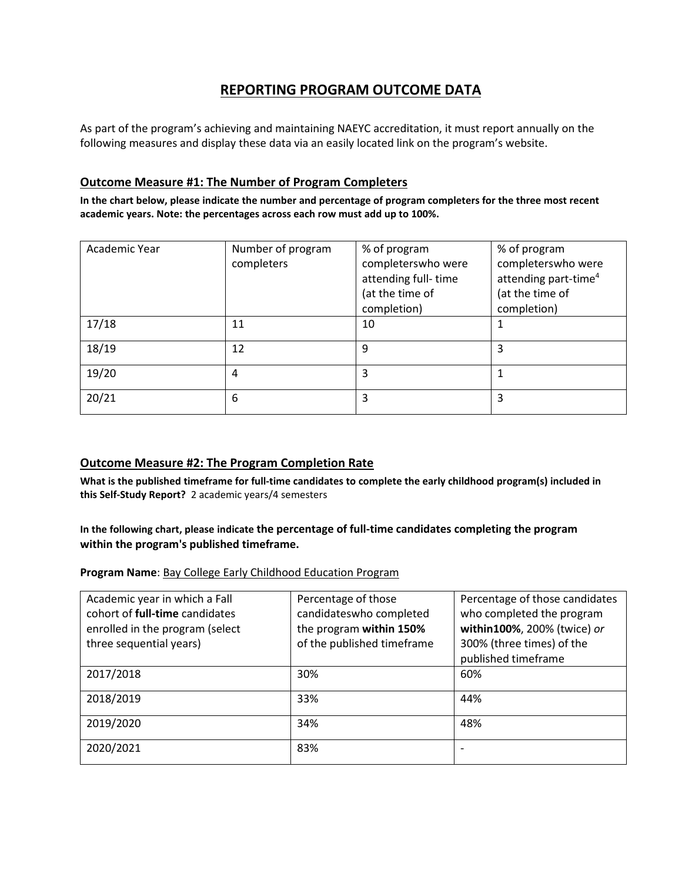# **REPORTING PROGRAM OUTCOME DATA**

As part of the program's achieving and maintaining NAEYC accreditation, it must report annually on the following measures and display these data via an easily located link on the program's website.

#### **Outcome Measure #1: The Number of Program Completers**

**In the chart below, please indicate the number and percentage of program completers for the three most recent academic years. Note: the percentages across each row must add up to 100%.**

| Academic Year | Number of program<br>completers | % of program<br>completerswho were<br>attending full-time<br>(at the time of<br>completion) | % of program<br>completerswho were<br>attending part-time <sup>4</sup><br>(at the time of<br>completion) |
|---------------|---------------------------------|---------------------------------------------------------------------------------------------|----------------------------------------------------------------------------------------------------------|
| 17/18         | 11                              | 10                                                                                          |                                                                                                          |
| 18/19         | 12                              | 9                                                                                           | 3                                                                                                        |
| 19/20         | 4                               | 3                                                                                           |                                                                                                          |
| 20/21         | 6                               | 3                                                                                           | 3                                                                                                        |

### **Outcome Measure #2: The Program Completion Rate**

**What is the published timeframe for full-time candidates to complete the early childhood program(s) included in this Self-Study Report?** 2 academic years/4 semesters

#### **In the following chart, please indicate the percentage of full-time candidates completing the program within the program's published timeframe.**

**Program Name**: Bay College Early Childhood Education Program

| Academic year in which a Fall   | Percentage of those        | Percentage of those candidates |
|---------------------------------|----------------------------|--------------------------------|
| cohort of full-time candidates  | candidateswho completed    | who completed the program      |
| enrolled in the program (select | the program within 150%    | within100%, 200% (twice) or    |
| three sequential years)         | of the published timeframe | 300% (three times) of the      |
|                                 |                            | published timeframe            |
| 2017/2018                       | 30%                        | 60%                            |
| 2018/2019                       | 33%                        | 44%                            |
| 2019/2020                       | 34%                        | 48%                            |
| 2020/2021                       | 83%                        |                                |